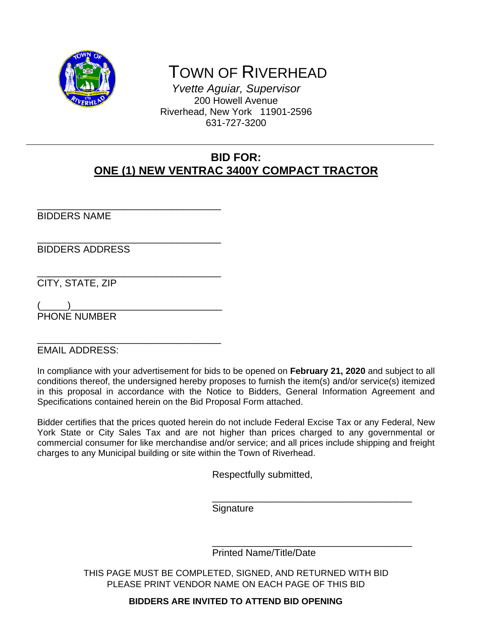

\_\_\_\_\_\_\_\_\_\_\_\_\_\_\_\_\_\_\_\_\_\_\_\_\_\_\_\_\_\_\_\_\_\_

# TOWN OF RIVERHEAD

*Yvette Aguiar, Supervisor*  200 Howell Avenue Riverhead, New York 11901-2596 631-727-3200

### **BID FOR: ONE (1) NEW VENTRAC 3400Y COMPACT TRACTOR**

BIDDERS NAME

\_\_\_\_\_\_\_\_\_\_\_\_\_\_\_\_\_\_\_\_\_\_\_\_\_\_\_\_\_\_\_\_\_\_ BIDDERS ADDRESS

\_\_\_\_\_\_\_\_\_\_\_\_\_\_\_\_\_\_\_\_\_\_\_\_\_\_\_\_\_\_\_\_\_\_ CITY, STATE, ZIP

(\_\_\_\_\_)\_\_\_\_\_\_\_\_\_\_\_\_\_\_\_\_\_\_\_\_\_\_\_\_\_\_\_\_ PHONE NUMBER

\_\_\_\_\_\_\_\_\_\_\_\_\_\_\_\_\_\_\_\_\_\_\_\_\_\_\_\_\_\_\_\_\_\_ EMAIL ADDRESS:

In compliance with your advertisement for bids to be opened on **February 21, 2020** and subject to all conditions thereof, the undersigned hereby proposes to furnish the item(s) and/or service(s) itemized in this proposal in accordance with the Notice to Bidders, General Information Agreement and Specifications contained herein on the Bid Proposal Form attached.

Bidder certifies that the prices quoted herein do not include Federal Excise Tax or any Federal, New York State or City Sales Tax and are not higher than prices charged to any governmental or commercial consumer for like merchandise and/or service; and all prices include shipping and freight charges to any Municipal building or site within the Town of Riverhead.

Respectfully submitted,

**Signature** 

 $\overline{\phantom{a}}$  , which is a set of the set of the set of the set of the set of the set of the set of the set of the set of the set of the set of the set of the set of the set of the set of the set of the set of the set of th

 $\overline{\phantom{a}}$  , which is a set of the set of the set of the set of the set of the set of the set of the set of the set of the set of the set of the set of the set of the set of the set of the set of the set of the set of th Printed Name/Title/Date

> THIS PAGE MUST BE COMPLETED, SIGNED, AND RETURNED WITH BID PLEASE PRINT VENDOR NAME ON EACH PAGE OF THIS BID

> > **BIDDERS ARE INVITED TO ATTEND BID OPENING**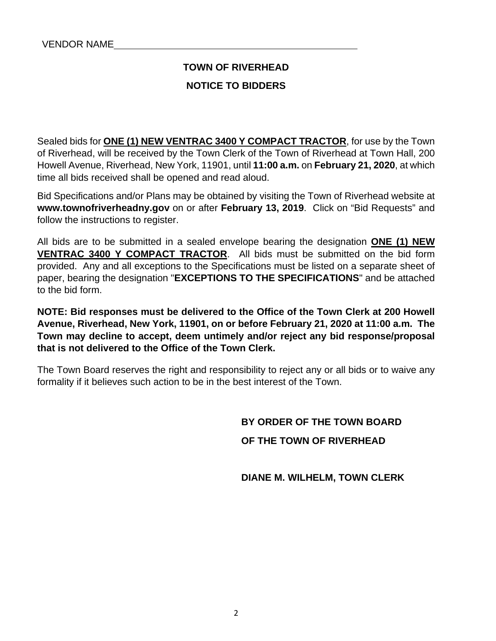## **TOWN OF RIVERHEAD**

#### **NOTICE TO BIDDERS**

Sealed bids for **ONE (1) NEW VENTRAC 3400 Y COMPACT TRACTOR**, for use by the Town of Riverhead, will be received by the Town Clerk of the Town of Riverhead at Town Hall, 200 Howell Avenue, Riverhead, New York, 11901, until **11:00 a.m.** on **February 21, 2020**, at which time all bids received shall be opened and read aloud.

Bid Specifications and/or Plans may be obtained by visiting the Town of Riverhead website at **www.townofriverheadny.gov** on or after **February 13, 2019**. Click on "Bid Requests" and follow the instructions to register.

All bids are to be submitted in a sealed envelope bearing the designation **ONE (1) NEW VENTRAC 3400 Y COMPACT TRACTOR**. All bids must be submitted on the bid form provided. Any and all exceptions to the Specifications must be listed on a separate sheet of paper, bearing the designation "**EXCEPTIONS TO THE SPECIFICATIONS**" and be attached to the bid form.

**NOTE: Bid responses must be delivered to the Office of the Town Clerk at 200 Howell Avenue, Riverhead, New York, 11901, on or before February 21, 2020 at 11:00 a.m. The Town may decline to accept, deem untimely and/or reject any bid response/proposal that is not delivered to the Office of the Town Clerk.**

The Town Board reserves the right and responsibility to reject any or all bids or to waive any formality if it believes such action to be in the best interest of the Town.

### **BY ORDER OF THE TOWN BOARD OF THE TOWN OF RIVERHEAD**

#### **DIANE M. WILHELM, TOWN CLERK**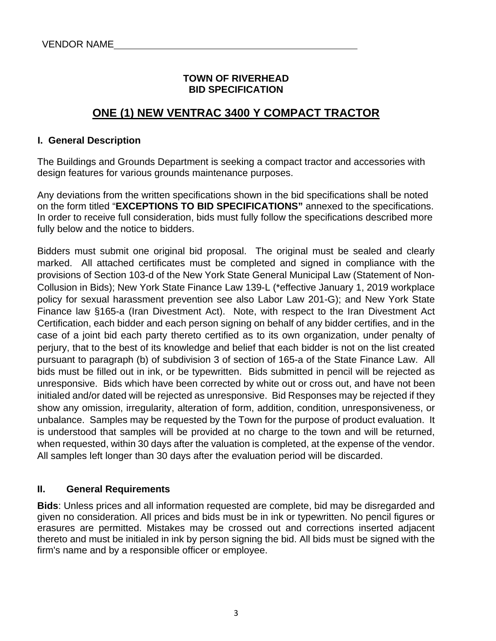#### **TOWN OF RIVERHEAD BID SPECIFICATION**

### **ONE (1) NEW VENTRAC 3400 Y COMPACT TRACTOR**

#### **I. General Description**

The Buildings and Grounds Department is seeking a compact tractor and accessories with design features for various grounds maintenance purposes.

Any deviations from the written specifications shown in the bid specifications shall be noted on the form titled "**EXCEPTIONS TO BID SPECIFICATIONS"** annexed to the specifications. In order to receive full consideration, bids must fully follow the specifications described more fully below and the notice to bidders.

Bidders must submit one original bid proposal. The original must be sealed and clearly marked. All attached certificates must be completed and signed in compliance with the provisions of Section 103-d of the New York State General Municipal Law (Statement of Non-Collusion in Bids); New York State Finance Law 139-L (\*effective January 1, 2019 workplace policy for sexual harassment prevention see also Labor Law 201-G); and New York State Finance law §165-a (Iran Divestment Act). Note, with respect to the Iran Divestment Act Certification, each bidder and each person signing on behalf of any bidder certifies, and in the case of a joint bid each party thereto certified as to its own organization, under penalty of perjury, that to the best of its knowledge and belief that each bidder is not on the list created pursuant to paragraph (b) of subdivision 3 of section of 165-a of the State Finance Law. All bids must be filled out in ink, or be typewritten. Bids submitted in pencil will be rejected as unresponsive. Bids which have been corrected by white out or cross out, and have not been initialed and/or dated will be rejected as unresponsive. Bid Responses may be rejected if they show any omission, irregularity, alteration of form, addition, condition, unresponsiveness, or unbalance. Samples may be requested by the Town for the purpose of product evaluation. It is understood that samples will be provided at no charge to the town and will be returned, when requested, within 30 days after the valuation is completed, at the expense of the vendor. All samples left longer than 30 days after the evaluation period will be discarded.

#### **II. General Requirements**

**Bids**: Unless prices and all information requested are complete, bid may be disregarded and given no consideration. All prices and bids must be in ink or typewritten. No pencil figures or erasures are permitted. Mistakes may be crossed out and corrections inserted adjacent thereto and must be initialed in ink by person signing the bid. All bids must be signed with the firm's name and by a responsible officer or employee.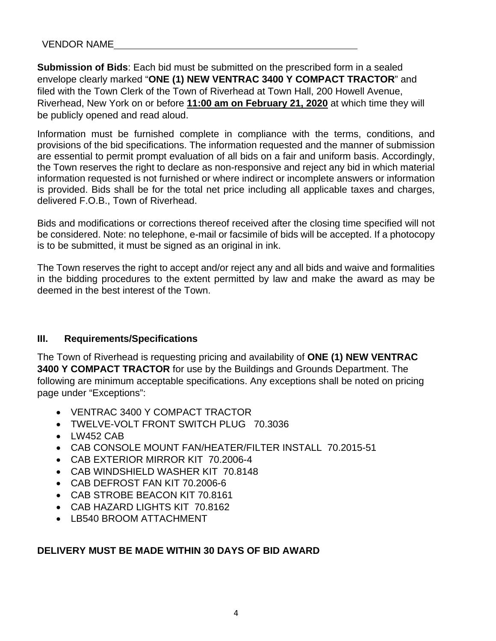**Submission of Bids**: Each bid must be submitted on the prescribed form in a sealed envelope clearly marked "**ONE (1) NEW VENTRAC 3400 Y COMPACT TRACTOR**" and filed with the Town Clerk of the Town of Riverhead at Town Hall, 200 Howell Avenue, Riverhead, New York on or before **11:00 am on February 21, 2020** at which time they will be publicly opened and read aloud.

Information must be furnished complete in compliance with the terms, conditions, and provisions of the bid specifications. The information requested and the manner of submission are essential to permit prompt evaluation of all bids on a fair and uniform basis. Accordingly, the Town reserves the right to declare as non-responsive and reject any bid in which material information requested is not furnished or where indirect or incomplete answers or information is provided. Bids shall be for the total net price including all applicable taxes and charges, delivered F.O.B., Town of Riverhead.

Bids and modifications or corrections thereof received after the closing time specified will not be considered. Note: no telephone, e-mail or facsimile of bids will be accepted. If a photocopy is to be submitted, it must be signed as an original in ink.

The Town reserves the right to accept and/or reject any and all bids and waive and formalities in the bidding procedures to the extent permitted by law and make the award as may be deemed in the best interest of the Town.

#### **III. Requirements/Specifications**

The Town of Riverhead is requesting pricing and availability of **ONE (1) NEW VENTRAC 3400 Y COMPACT TRACTOR** for use by the Buildings and Grounds Department. The following are minimum acceptable specifications. Any exceptions shall be noted on pricing page under "Exceptions":

- VENTRAC 3400 Y COMPACT TRACTOR
- TWELVE-VOLT FRONT SWITCH PLUG 70.3036
- LW452 CAB
- CAB CONSOLE MOUNT FAN/HEATER/FILTER INSTALL 70.2015-51
- CAB EXTERIOR MIRROR KIT 70.2006-4
- CAB WINDSHIELD WASHER KIT 70.8148
- CAB DEFROST FAN KIT 70.2006-6
- CAB STROBE BEACON KIT 70.8161
- CAB HAZARD LIGHTS KIT 70.8162
- LB540 BROOM ATTACHMENT

#### **DELIVERY MUST BE MADE WITHIN 30 DAYS OF BID AWARD**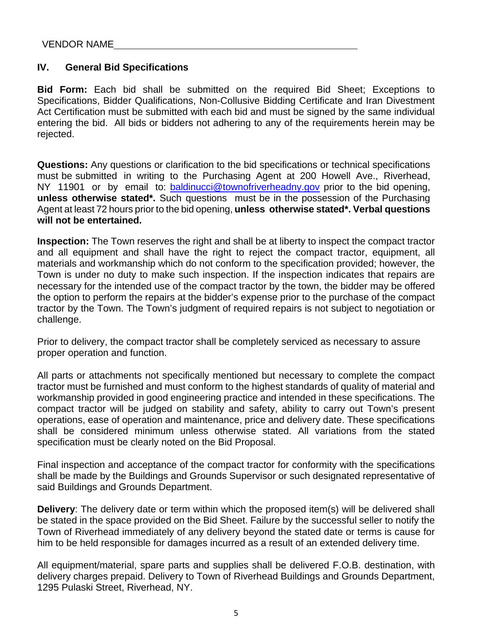#### **IV. General Bid Specifications**

**Bid Form:** Each bid shall be submitted on the required Bid Sheet; Exceptions to Specifications, Bidder Qualifications, Non-Collusive Bidding Certificate and Iran Divestment Act Certification must be submitted with each bid and must be signed by the same individual entering the bid. All bids or bidders not adhering to any of the requirements herein may be rejected.

**Questions:** Any questions or clarification to the bid specifications or technical specifications must be submitted in writing to the Purchasing Agent at 200 Howell Ave., Riverhead, NY 11901 or by email to: baldinucci@townofriverheadny.gov prior to the bid opening, **unless otherwise stated\*.** Such questions must be in the possession of the Purchasing Agent at least 72 hours prior to the bid opening, **unless otherwise stated\*. Verbal questions will not be entertained.**

**Inspection:** The Town reserves the right and shall be at liberty to inspect the compact tractor and all equipment and shall have the right to reject the compact tractor, equipment, all materials and workmanship which do not conform to the specification provided; however, the Town is under no duty to make such inspection. If the inspection indicates that repairs are necessary for the intended use of the compact tractor by the town, the bidder may be offered the option to perform the repairs at the bidder's expense prior to the purchase of the compact tractor by the Town. The Town's judgment of required repairs is not subject to negotiation or challenge.

Prior to delivery, the compact tractor shall be completely serviced as necessary to assure proper operation and function.

All parts or attachments not specifically mentioned but necessary to complete the compact tractor must be furnished and must conform to the highest standards of quality of material and workmanship provided in good engineering practice and intended in these specifications. The compact tractor will be judged on stability and safety, ability to carry out Town's present operations, ease of operation and maintenance, price and delivery date. These specifications shall be considered minimum unless otherwise stated. All variations from the stated specification must be clearly noted on the Bid Proposal.

Final inspection and acceptance of the compact tractor for conformity with the specifications shall be made by the Buildings and Grounds Supervisor or such designated representative of said Buildings and Grounds Department.

**Delivery**: The delivery date or term within which the proposed item(s) will be delivered shall be stated in the space provided on the Bid Sheet. Failure by the successful seller to notify the Town of Riverhead immediately of any delivery beyond the stated date or terms is cause for him to be held responsible for damages incurred as a result of an extended delivery time.

All equipment/material, spare parts and supplies shall be delivered F.O.B. destination, with delivery charges prepaid. Delivery to Town of Riverhead Buildings and Grounds Department, 1295 Pulaski Street, Riverhead, NY.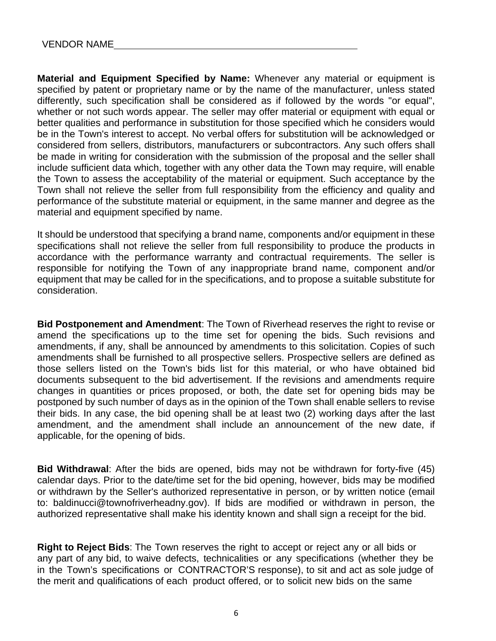**Material and Equipment Specified by Name:** Whenever any material or equipment is specified by patent or proprietary name or by the name of the manufacturer, unless stated differently, such specification shall be considered as if followed by the words "or equal", whether or not such words appear. The seller may offer material or equipment with equal or better qualities and performance in substitution for those specified which he considers would be in the Town's interest to accept. No verbal offers for substitution will be acknowledged or considered from sellers, distributors, manufacturers or subcontractors. Any such offers shall be made in writing for consideration with the submission of the proposal and the seller shall include sufficient data which, together with any other data the Town may require, will enable the Town to assess the acceptability of the material or equipment. Such acceptance by the Town shall not relieve the seller from full responsibility from the efficiency and quality and performance of the substitute material or equipment, in the same manner and degree as the material and equipment specified by name.

It should be understood that specifying a brand name, components and/or equipment in these specifications shall not relieve the seller from full responsibility to produce the products in accordance with the performance warranty and contractual requirements. The seller is responsible for notifying the Town of any inappropriate brand name, component and/or equipment that may be called for in the specifications, and to propose a suitable substitute for consideration.

**Bid Postponement and Amendment**: The Town of Riverhead reserves the right to revise or amend the specifications up to the time set for opening the bids. Such revisions and amendments, if any, shall be announced by amendments to this solicitation. Copies of such amendments shall be furnished to all prospective sellers. Prospective sellers are defined as those sellers listed on the Town's bids list for this material, or who have obtained bid documents subsequent to the bid advertisement. If the revisions and amendments require changes in quantities or prices proposed, or both, the date set for opening bids may be postponed by such number of days as in the opinion of the Town shall enable sellers to revise their bids. In any case, the bid opening shall be at least two (2) working days after the last amendment, and the amendment shall include an announcement of the new date, if applicable, for the opening of bids.

**Bid Withdrawal**: After the bids are opened, bids may not be withdrawn for forty-five (45) calendar days. Prior to the date/time set for the bid opening, however, bids may be modified or withdrawn by the Seller's authorized representative in person, or by written notice (email to: baldinucci@townofriverheadny.gov). If bids are modified or withdrawn in person, the authorized representative shall make his identity known and shall sign a receipt for the bid.

**Right to Reject Bids**: The Town reserves the right to accept or reject any or all bids or any part of any bid, to waive defects, technicalities or any specifications (whether they be in the Town's specifications or CONTRACTOR'S response), to sit and act as sole judge of the merit and qualifications of each product offered, or to solicit new bids on the same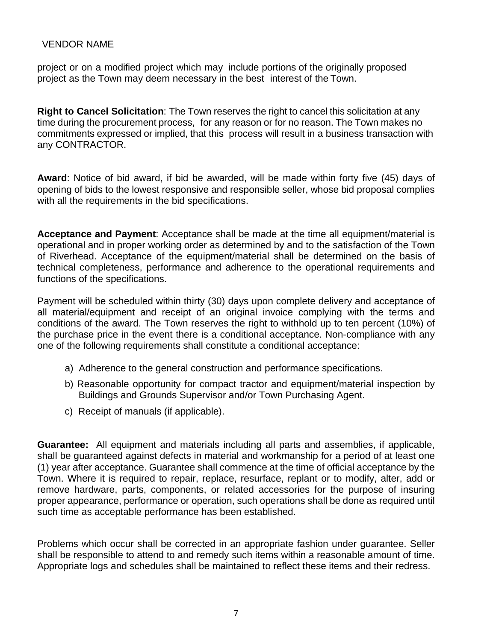project or on a modified project which may include portions of the originally proposed project as the Town may deem necessary in the best interest of the Town.

**Right to Cancel Solicitation**: The Town reserves the right to cancel this solicitation at any time during the procurement process, for any reason or for no reason. The Town makes no commitments expressed or implied, that this process will result in a business transaction with any CONTRACTOR.

**Award**: Notice of bid award, if bid be awarded, will be made within forty five (45) days of opening of bids to the lowest responsive and responsible seller, whose bid proposal complies with all the requirements in the bid specifications.

**Acceptance and Payment**: Acceptance shall be made at the time all equipment/material is operational and in proper working order as determined by and to the satisfaction of the Town of Riverhead. Acceptance of the equipment/material shall be determined on the basis of technical completeness, performance and adherence to the operational requirements and functions of the specifications.

Payment will be scheduled within thirty (30) days upon complete delivery and acceptance of all material/equipment and receipt of an original invoice complying with the terms and conditions of the award. The Town reserves the right to withhold up to ten percent (10%) of the purchase price in the event there is a conditional acceptance. Non-compliance with any one of the following requirements shall constitute a conditional acceptance:

- a) Adherence to the general construction and performance specifications.
- b) Reasonable opportunity for compact tractor and equipment/material inspection by Buildings and Grounds Supervisor and/or Town Purchasing Agent.
- c) Receipt of manuals (if applicable).

**Guarantee:** All equipment and materials including all parts and assemblies, if applicable, shall be guaranteed against defects in material and workmanship for a period of at least one (1) year after acceptance. Guarantee shall commence at the time of official acceptance by the Town. Where it is required to repair, replace, resurface, replant or to modify, alter, add or remove hardware, parts, components, or related accessories for the purpose of insuring proper appearance, performance or operation, such operations shall be done as required until such time as acceptable performance has been established.

Problems which occur shall be corrected in an appropriate fashion under guarantee. Seller shall be responsible to attend to and remedy such items within a reasonable amount of time. Appropriate logs and schedules shall be maintained to reflect these items and their redress.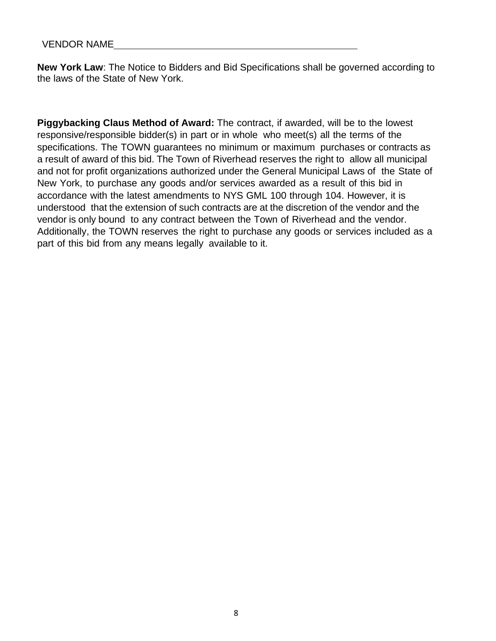**New York Law**: The Notice to Bidders and Bid Specifications shall be governed according to the laws of the State of New York.

**Piggybacking Claus Method of Award:** The contract, if awarded, will be to the lowest responsive/responsible bidder(s) in part or in whole who meet(s) all the terms of the specifications. The TOWN guarantees no minimum or maximum purchases or contracts as a result of award of this bid. The Town of Riverhead reserves the right to allow all municipal and not for profit organizations authorized under the General Municipal Laws of the State of New York, to purchase any goods and/or services awarded as a result of this bid in accordance with the latest amendments to NYS GML 100 through 104. However, it is understood that the extension of such contracts are at the discretion of the vendor and the vendor is only bound to any contract between the Town of Riverhead and the vendor. Additionally, the TOWN reserves the right to purchase any goods or services included as a part of this bid from any means legally available to it.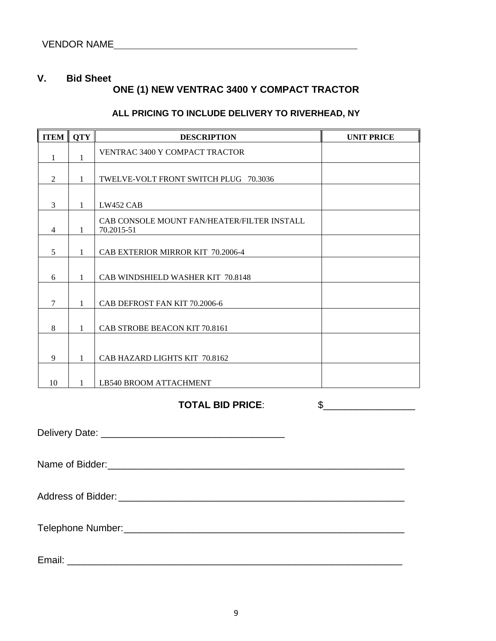#### **V. Bid Sheet**

### **ONE (1) NEW VENTRAC 3400 Y COMPACT TRACTOR**

#### **ALL PRICING TO INCLUDE DELIVERY TO RIVERHEAD, NY**

| <b>ITEM</b>    | <b>QTY</b>   | <b>DESCRIPTION</b>                                        | <b>UNIT PRICE</b> |
|----------------|--------------|-----------------------------------------------------------|-------------------|
| 1              | 1            | VENTRAC 3400 Y COMPACT TRACTOR                            |                   |
| $\overline{2}$ | 1            | TWELVE-VOLT FRONT SWITCH PLUG 70.3036                     |                   |
| 3              | 1            | LW452 CAB                                                 |                   |
| $\overline{4}$ | 1            | CAB CONSOLE MOUNT FAN/HEATER/FILTER INSTALL<br>70.2015-51 |                   |
| 5              | $\mathbf{1}$ | CAB EXTERIOR MIRROR KIT 70.2006-4                         |                   |
| 6              | $\mathbf{1}$ | CAB WINDSHIELD WASHER KIT 70.8148                         |                   |
| $\tau$         | 1            | CAB DEFROST FAN KIT 70.2006-6                             |                   |
| $\,8\,$        | 1            | CAB STROBE BEACON KIT 70.8161                             |                   |
| 9              | 1            | CAB HAZARD LIGHTS KIT 70.8162                             |                   |
| 10             | $\mathbf{1}$ | LB540 BROOM ATTACHMENT                                    |                   |
|                |              | <b>TOTAL BID PRICE:</b>                                   | \$                |
|                |              |                                                           |                   |
|                |              | Name of Bidder: Name of Bidder:                           |                   |
|                |              |                                                           |                   |
|                |              |                                                           |                   |
|                |              |                                                           |                   |
| Email:         |              | <u> 1980 - Jan Barbara (j. 1980)</u>                      |                   |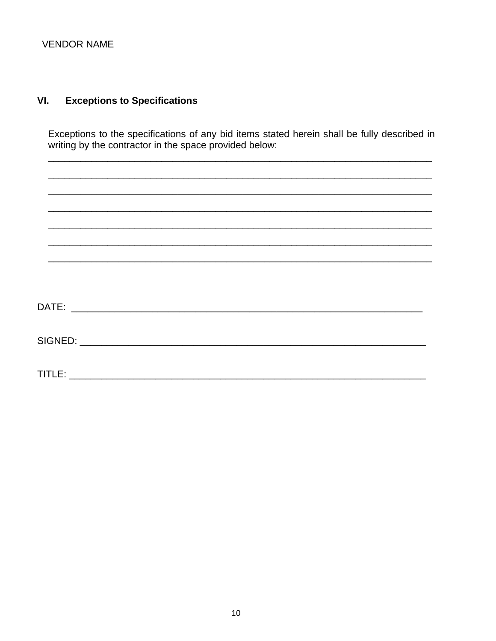#### **Exceptions to Specifications**  $VI.$

Exceptions to the specifications of any bid items stated herein shall be fully described in writing by the contractor in the space provided below:

| TITLE: |  |  |  |
|--------|--|--|--|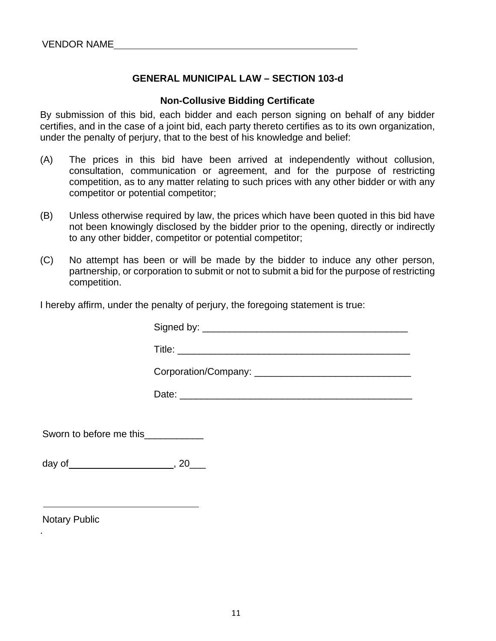#### **GENERAL MUNICIPAL LAW – SECTION 103-d**

#### **Non-Collusive Bidding Certificate**

By submission of this bid, each bidder and each person signing on behalf of any bidder certifies, and in the case of a joint bid, each party thereto certifies as to its own organization, under the penalty of perjury, that to the best of his knowledge and belief:

- (A) The prices in this bid have been arrived at independently without collusion, consultation, communication or agreement, and for the purpose of restricting competition, as to any matter relating to such prices with any other bidder or with any competitor or potential competitor;
- (B) Unless otherwise required by law, the prices which have been quoted in this bid have not been knowingly disclosed by the bidder prior to the opening, directly or indirectly to any other bidder, competitor or potential competitor;
- (C) No attempt has been or will be made by the bidder to induce any other person, partnership, or corporation to submit or not to submit a bid for the purpose of restricting competition.

I hereby affirm, under the penalty of perjury, the foregoing statement is true:

| Signed by: _______________                                                                                                                                                                                                     |
|--------------------------------------------------------------------------------------------------------------------------------------------------------------------------------------------------------------------------------|
| Title: The contract of the contract of the contract of the contract of the contract of the contract of the contract of the contract of the contract of the contract of the contract of the contract of the contract of the con |
|                                                                                                                                                                                                                                |
|                                                                                                                                                                                                                                |

Date: \_\_\_\_\_\_\_\_\_\_\_\_\_\_\_\_\_\_\_\_\_\_\_\_\_\_\_\_\_\_\_\_\_\_\_\_\_\_\_\_\_\_\_

Sworn to before me this\_\_\_\_\_\_\_\_\_\_\_\_\_

day of  $\qquad \qquad , 20$ 

Notary Public

.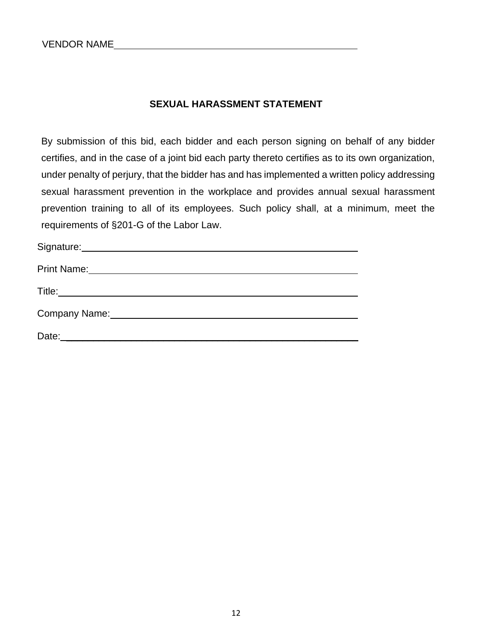#### **SEXUAL HARASSMENT STATEMENT**

By submission of this bid, each bidder and each person signing on behalf of any bidder certifies, and in the case of a joint bid each party thereto certifies as to its own organization, under penalty of perjury, that the bidder has and has implemented a written policy addressing sexual harassment prevention in the workplace and provides annual sexual harassment prevention training to all of its employees. Such policy shall, at a minimum, meet the requirements of §201-G of the Labor Law.

| Signature: Management of the Signature:           |
|---------------------------------------------------|
|                                                   |
|                                                   |
| Company Name: Manual Account of the Company Name: |
| Date:                                             |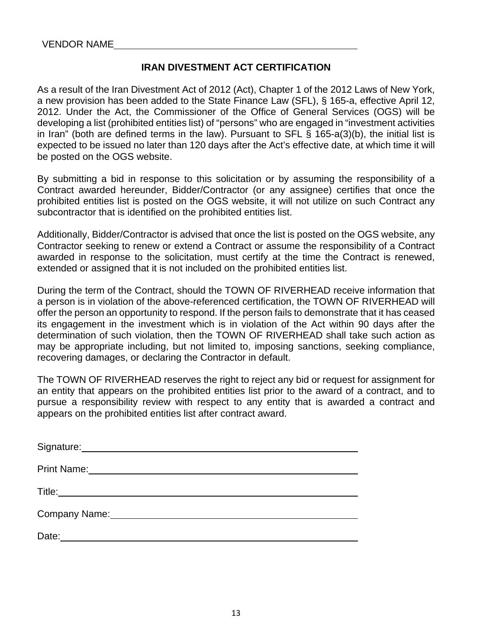#### **IRAN DIVESTMENT ACT CERTIFICATION**

As a result of the Iran Divestment Act of 2012 (Act), Chapter 1 of the 2012 Laws of New York, a new provision has been added to the State Finance Law (SFL), § 165-a, effective April 12, 2012. Under the Act, the Commissioner of the Office of General Services (OGS) will be developing a list (prohibited entities list) of "persons" who are engaged in "investment activities in Iran" (both are defined terms in the law). Pursuant to SFL § 165-a(3)(b), the initial list is expected to be issued no later than 120 days after the Act's effective date, at which time it will be posted on the OGS website.

By submitting a bid in response to this solicitation or by assuming the responsibility of a Contract awarded hereunder, Bidder/Contractor (or any assignee) certifies that once the prohibited entities list is posted on the OGS website, it will not utilize on such Contract any subcontractor that is identified on the prohibited entities list.

Additionally, Bidder/Contractor is advised that once the list is posted on the OGS website, any Contractor seeking to renew or extend a Contract or assume the responsibility of a Contract awarded in response to the solicitation, must certify at the time the Contract is renewed, extended or assigned that it is not included on the prohibited entities list.

During the term of the Contract, should the TOWN OF RIVERHEAD receive information that a person is in violation of the above-referenced certification, the TOWN OF RIVERHEAD will offer the person an opportunity to respond. If the person fails to demonstrate that it has ceased its engagement in the investment which is in violation of the Act within 90 days after the determination of such violation, then the TOWN OF RIVERHEAD shall take such action as may be appropriate including, but not limited to, imposing sanctions, seeking compliance, recovering damages, or declaring the Contractor in default.

The TOWN OF RIVERHEAD reserves the right to reject any bid or request for assignment for an entity that appears on the prohibited entities list prior to the award of a contract, and to pursue a responsibility review with respect to any entity that is awarded a contract and appears on the prohibited entities list after contract award.

| Signature: <u>contract and a set of the set of the set of the set of the set of the set of the set of the set of the set of the set of the set of the set of the set of the set of the set of the set of the set of the set of t</u> |  |
|--------------------------------------------------------------------------------------------------------------------------------------------------------------------------------------------------------------------------------------|--|
| Print Name: <u>Discovering the Community of the Community of the Community of the Community of the Community of the Community of the Community of the Community of the Community of the Community of the Community of the Commun</u> |  |
|                                                                                                                                                                                                                                      |  |
| Company Name: Name: Name and Second Company Name: Name and Second Company Name and Second Company of the Company of the Company of the Company of the Company of the Company of the Company of the Company of the Company of t       |  |
| Date:                                                                                                                                                                                                                                |  |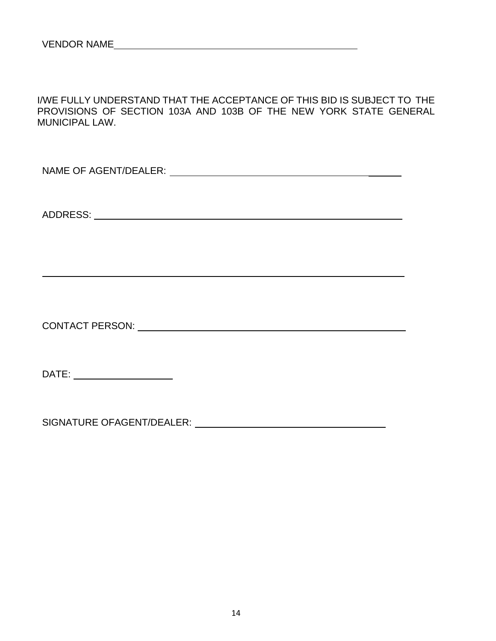I/WE FULLY UNDERSTAND THAT THE ACCEPTANCE OF THIS BID IS SUBJECT TO THE PROVISIONS OF SECTION 103A AND 103B OF THE NEW YORK STATE GENERAL MUNICIPAL LAW.

NAME OF AGENT/DEALER:

ADDRESS:

CONTACT PERSON:

DATE: **DATE:** 

SIGNATURE OFAGENT/DEALER: